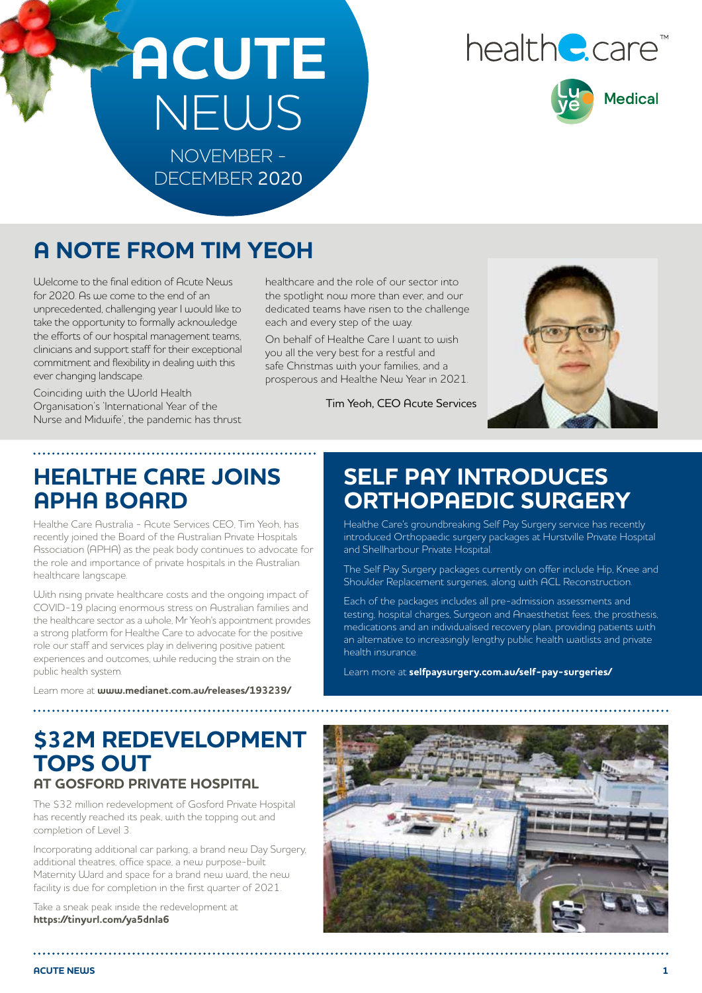## **ACUTE**  NEWS NOVEMBER - DECEMBER 2020

# healthe.care<sup>®</sup>



**A NOTE FROM TIM YEOH**

Welcome to the final edition of Acute News for 2020. As we come to the end of an unprecedented, challenging year I would like to take the opportunity to formally acknowledge the efforts of our hospital management teams, clinicians and support staff for their exceptional commitment and flexibility in dealing with this ever changing landscape.

Coinciding with the World Health Organisation's 'International Year of the Nurse and Midwife', the pandemic has thrust

healthcare and the role of our sector into the spotlight now more than ever, and our dedicated teams have risen to the challenge each and every step of the way.

On behalf of Healthe Care I want to wish you all the very best for a restful and safe Christmas with your families, and a prosperous and Healthe New Year in 2021.

Tim Yeoh, CEO Acute Services

## **HEALTHE CARE JOINS APHA BOARD**

Healthe Care Australia - Acute Services CEO, Tim Yeoh, has recently joined the Board of the Australian Private Hospitals Association (APHA) as the peak body continues to advocate for the role and importance of private hospitals in the Australian healthcare langscape.

With rising private healthcare costs and the ongoing impact of COVID-19 placing enormous stress on Australian families and the healthcare sector as a whole, Mr Yeoh's appointment provides a strong platform for Healthe Care to advocate for the positive role our staff and services play in delivering positive patient experiences and outcomes, while reducing the strain on the public health system.

Learn more at **www.medianet.com.au/releases/193239/**

## **SELF PAY INTRODUCES ORTHOPAEDIC SURGERY**

Healthe Care's groundbreaking Self Pay Surgery service has recently introduced Orthopaedic surgery packages at Hurstville Private Hospital and Shellharbour Private Hospital.

The Self Pay Surgery packages currently on offer include Hip, Knee and Shoulder Replacement surgeries, along with ACL Reconstruction.

Each of the packages includes all pre-admission assessments and testing, hospital charges, Surgeon and Anaesthetist fees, the prosthesis, medications and an individualised recovery plan, providing patients with an alternative to increasingly lengthy public health waitlists and private health insurance.

Learn more at **selfpaysurgery.com.au/self-pay-surgeries/**

#### **\$32M REDEVELOPMENT TOPS OUT AT GOSFORD PRIVATE HOSPITAL**

The \$32 million redevelopment of Gosford Private Hospital has recently reached its peak, with the topping out and completion of Level 3.

Incorporating additional car parking, a brand new Day Surgery, additional theatres, office space, a new purpose-built Maternity Ward and space for a brand new ward, the new facility is due for completion in the first quarter of 2021.

Take a sneak peak inside the redevelopment at **https://tinyurl.com/ya5dnla6**

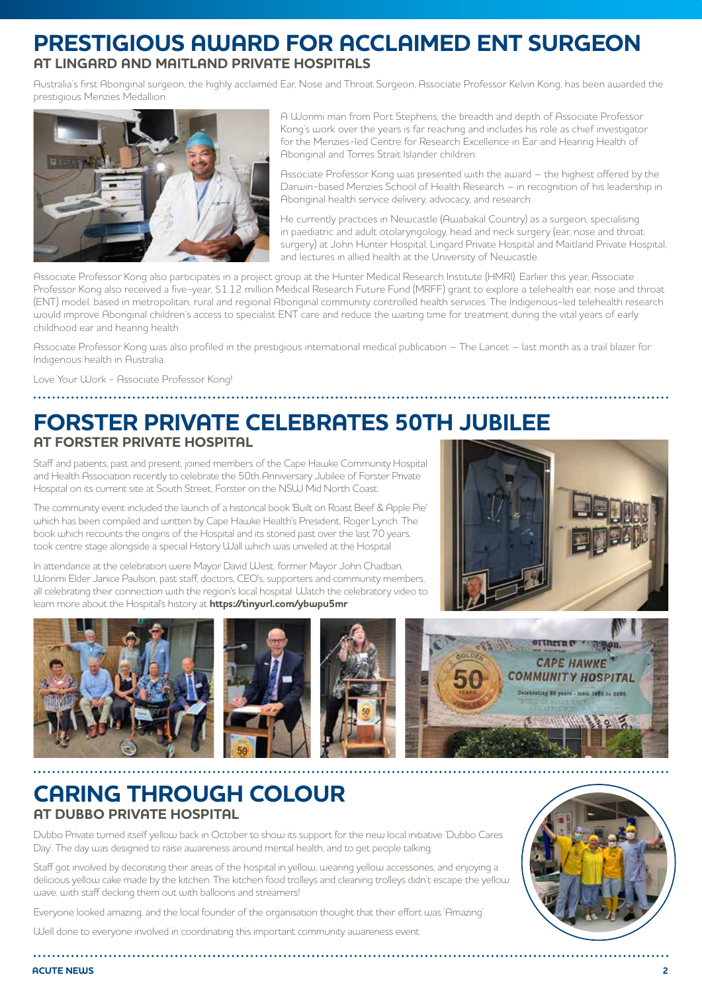#### **PRESTIGIOUS AWARD FOR ACCLAIMED ENT SURGEON AT LINGARD AND MAITLAND PRIVATE HOSPITALS**

Australia's first Aboriginal surgeon, the highly acclaimed Ear, Nose and Throat Surgeon, Associate Professor Kelvin Kong, has been awarded the prestigious Menzies Medallion.



A Worimi man from Port Stephens, the breadth and depth of Associate Professor Kong's work over the years is far reaching and includes his role as chief investigator for the Menzies-led Centre for Research Excellence in Ear and Hearing Health of Aboriginal and Torres Strait Islander children.

Associate Professor Kong was presented with the award – the highest offered by the Darwin-based Menzies School of Health Research – in recognition of his leadership in Aboriginal health service delivery, advocacy, and research.

He currently practices in Newcastle (Awabakal Country) as a surgeon, specialising in paediatric and adult otolaryngology, head and neck surgery (ear, nose and throat surgery) at John Hunter Hospital, Lingard Private Hospital and Maitland Private Hospital, and lectures in allied health at the University of Newcastle.

Associate Professor Kong also participates in a project group at the Hunter Medical Research Institute (HMRI). Earlier this year, Associate Professor Kong also received a five-year, \$1.12 million Medical Research Future Fund (MRFF) grant to explore a telehealth ear, nose and throat (ENT) model, based in metropolitan, rural and regional Aboriginal community controlled health services. The Indigenous-led telehealth research would improve Aboriginal children's access to specialist ENT care and reduce the waiting time for treatment during the vital years of early childhood ear and hearing health.

Associate Professor Kong was also profiled in the prestigious international medical publication – The Lancet – last month as a trail blazer for Indigenous health in Australia.

Love Your Work - Associate Professor Kong!

#### **FORSTER PRIVATE CELEBRATES 50TH JUBILEE AT FORSTER PRIVATE HOSPITAL**

Staff and patients, past and present, joined members of the Cape Hawke Community Hospital and Health Association recently to celebrate the 50th Anniversary Jubilee of Forster Private Hospital on its current site at South Street, Forster on the NSW Mid North Coast.

The community event included the launch of a historical book 'Built on Roast Beef & Apple Pie' which has been compiled and written by Cape Hawke Health's President, Roger Lynch. The book which recounts the origins of the Hospital and its storied past over the last 70 years, took centre stage alongside a special History Wall which was unveiled at the Hospital.

In attendance at the celebration were Mayor David West, former Mayor John Chadban, Worimi Elder Janice Paulson, past staff, doctors, CEO's, supporters and community members, all celebrating their connection with the region's local hospital. Watch the celebratory video to learn more about the Hospital's history at **https://tinyurl.com/ybwpu5mr**





#### **CARING THROUGH COLOUR AT DUBBO PRIVATE HOSPITAL**

Dubbo Private turned itself yellow back in October to show its support for the new local initiative 'Dubbo Cares Day'. The day was designed to raise awareness around mental health, and to get people talking.

Staff got involved by decorating their areas of the hospital in yellow, wearing yellow accessories, and enjoying a delicious yellow cake made by the kitchen. The kitchen food trolleys and cleaning trolleys didn't escape the yellow wave, with staff decking them out with balloons and streamers!

Everyone looked amazing, and the local founder of the organisation thought that their effort was 'Amazing'.

Well done to everyone involved in coordinating this important community awareness event.

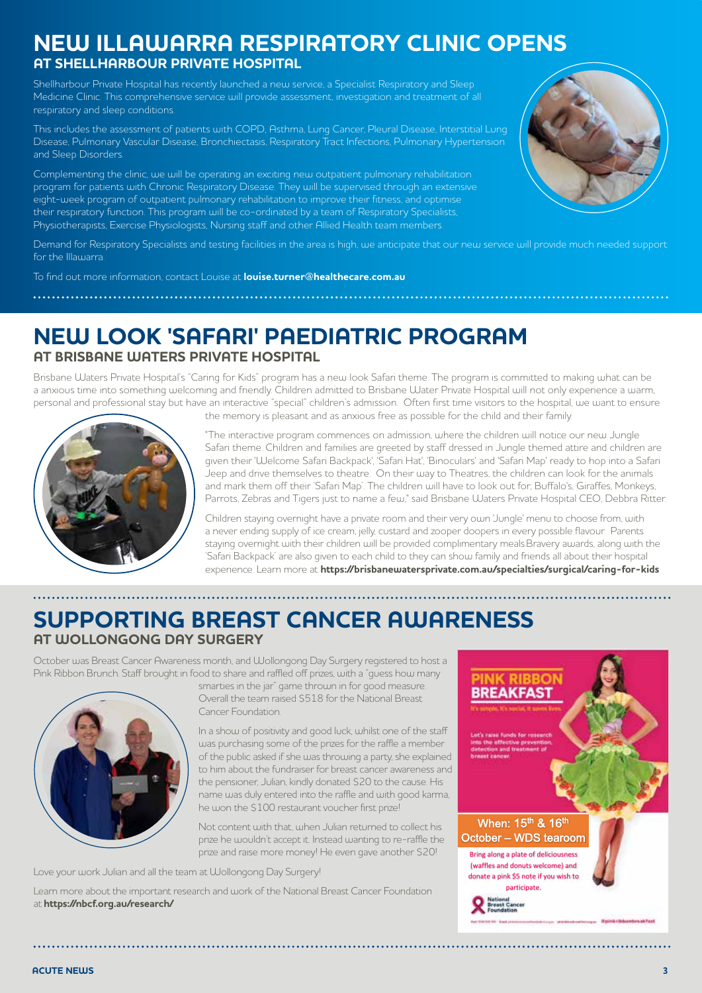#### **NEW ILLAWARRA RESPIRATORY CLINIC OPENS AT SHELLHARBOUR PRIVATE HOSPITAL**

Shellharbour Private Hospital has recently launched a new service, a Specialist Respiratory and Sleep Medicine Clinic. This comprehensive service will provide assessment, investigation and treatment of all respiratory and sleep conditions.

This includes the assessment of patients with COPD, Asthma, Lung Cancer, Pleural Disease, Interstitial Lung Disease, Pulmonary Vascular Disease, Bronchiectasis, Respiratory Tract Infections, Pulmonary Hypertension and Sleep Disorders.

Complementing the clinic, we will be operating an exciting new outpatient pulmonary rehabilitation program for patients with Chronic Respiratory Disease. They will be supervised through an extensive eight-week program of outpatient pulmonary rehabilitation to improve their fitness, and optimise their respiratory function. This program will be co-ordinated by a team of Respiratory Specialists, Physiotherapists, Exercise Physiologists, Nursing staff and other Allied Health team members.

Demand for Respiratory Specialists and testing facilities in the area is high, we anticipate that our new service will provide much needed support for the Illawarra.

To find out more information, contact Louise at **louise.turner@healthecare.com.au**

#### **NEW LOOK 'SAFARI' PAEDIATRIC PROGRAM AT BRISBANE WATERS PRIVATE HOSPITAL**

Brisbane Waters Private Hospital's "Caring for Kids" program has a new look Safari theme. The program is committed to making what can be a anxious time into something welcoming and friendly. Children admitted to Brisbane Water Private Hospital will not only experience a warm, personal and professional stay but have an interactive "special" children's admission. Often first time visitors to the hospital, we want to ensure



the memory is pleasant and as anxious free as possible for the child and their family.

"The interactive program commences on admission, where the children will notice our new Jungle Safari theme. Children and families are greeted by staff dressed in Jungle themed attire and children are given their 'Welcome Safari Backpack', 'Safari Hat', 'Binoculars' and 'Safari Map' ready to hop into a Safari Jeep and drive themselves to theatre. On their way to Theatres, the children can look for the animals and mark them off their 'Safari Map'. The children will have to look out for; Buffalo's, Giraffes, Monkeys, Parrots, Zebras and Tigers just to name a few," said Brisbane Waters Private Hospital CEO, Debbra Ritter.

Children staying overnight have a private room and their very own 'Jungle' menu to choose from, with a never ending supply of ice cream, jelly, custard and zooper doopers in every possible flavour. Parents staying overnight with their children will be provided complimentary meals.Bravery awards, along with the 'Safari Backpack' are also given to each child to they can show family and friends all about their hospital experience. Learn more at **https://brisbanewatersprivate.com.au/specialties/surgical/caring-for-kids**

### **SUPPORTING BREAST CANCER AWARENESS AT WOLLONGONG DAY SURGERY**

October was Breast Cancer Awareness month, and Wollongong Day Surgery registered to host a Pink Ribbon Brunch. Staff brought in food to share and raffled off prizes, with a "guess how many



smarties in the jar" game thrown in for good measure. Overall the team raised \$518 for the National Breast Cancer Foundation.

In a show of positivity and good luck, whilst one of the staff was purchasing some of the prizes for the raffle a member of the public asked if she was throwing a party, she explained to him about the fundraiser for breast cancer awareness and the pensioner, Julian, kindly donated \$20 to the cause. His name was duly entered into the raffle and with good karma, he won the \$100 restaurant voucher first prize!

Not content with that, when Julian returned to collect his prize he wouldn't accept it. Instead wanting to re-raffle the prize and raise more money! He even gave another \$20!

Love your work Julian and all the team at Wollongong Day Surgery!

Learn more about the important research and work of the National Breast Cancer Foundation at **https://nbcf.org.au/research/**



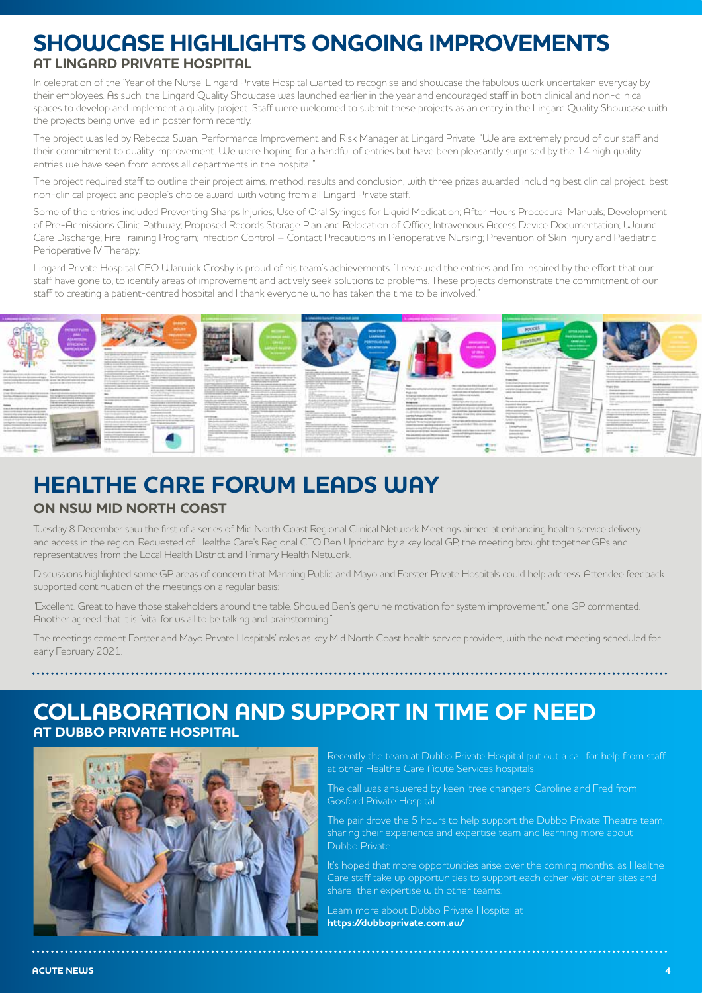#### **SHOWCASE HIGHLIGHTS ONGOING IMPROVEMENTS AT LINGARD PRIVATE HOSPITAL**

In celebration of the 'Year of the Nurse' Lingard Private Hospital wanted to recognise and showcase the fabulous work undertaken everyday by their employees. As such, the Lingard Quality Showcase was launched earlier in the year and encouraged staff in both clinical and non-clinical spaces to develop and implement a quality project. Staff were welcomed to submit these projects as an entry in the Lingard Quality Showcase with the projects being unveiled in poster form recently.

The project was led by Rebecca Swan, Performance Improvement and Risk Manager at Lingard Private. "We are extremely proud of our staff and their commitment to quality improvement. We were hoping for a handful of entries but have been pleasantly surprised by the 14 high quality entries we have seen from across all departments in the hospital."

The project required staff to outline their project aims, method, results and conclusion, with three prizes awarded including best clinical project, best non-clinical project and people's choice award, with voting from all Lingard Private staff.

Some of the entries included Preventing Sharps Injuries; Use of Oral Syringes for Liquid Medication; After Hours Procedural Manuals; Development of Pre-Admissions Clinic Pathway; Proposed Records Storage Plan and Relocation of Office; Intravenous Access Device Documentation; Wound Care Discharge; Fire Training Program; Infection Control – Contact Precautions in Perioperative Nursing; Prevention of Skin Injury and Paediatric Perioperative IV Therapy.

Lingard Private Hospital CEO Warwick Crosby is proud of his team's achievements. "I reviewed the entries and I'm inspired by the effort that our staff have gone to, to identify areas of improvement and actively seek solutions to problems. These projects demonstrate the commitment of our staff to creating a patient-centred hospital and I thank everyone who has taken the time to be involved."



#### **HEALTHE CARE FORUM LEADS WAY ON NSW MID NORTH COAST**

Tuesday 8 December saw the first of a series of Mid North Coast Regional Clinical Network Meetings aimed at enhancing health service delivery and access in the region. Requested of Healthe Care's Regional CEO Ben Uprichard by a key local GP, the meeting brought together GPs and representatives from the Local Health District and Primary Health Network.

Discussions highlighted some GP areas of concern that Manning Public and Mayo and Forster Private Hospitals could help address. Attendee feedback supported continuation of the meetings on a regular basis:

"Excellent. Great to have those stakeholders around the table. Showed Ben's genuine motivation for system improvement," one GP commented. Another agreed that it is "vital for us all to be talking and brainstorming."

The meetings cement Forster and Mayo Private Hospitals' roles as key Mid North Coast health service providers, with the next meeting scheduled for early February 2021.

#### **COLLABORATION AND SUPPORT IN TIME OF NEED AT DUBBO PRIVATE HOSPITAL**



Recently the team at Dubbo Private Hospital put out a call for help from staff at other Healthe Care Acute Services hospitals.

The call was answered by keen 'tree changers' Caroline and Fred from Gosford Private Hospital.

The pair drove the 5 hours to help support the Dubbo Private Theatre team, sharing their experience and expertise team and learning more about Dubbo Private.

It's hoped that more opportunities arise over the coming months, as Healthe Care staff take up opportunities to support each other, visit other sites and share their expertise with other teams.

Learn more about Dubbo Private Hospital at **https://dubboprivate.com.au/**